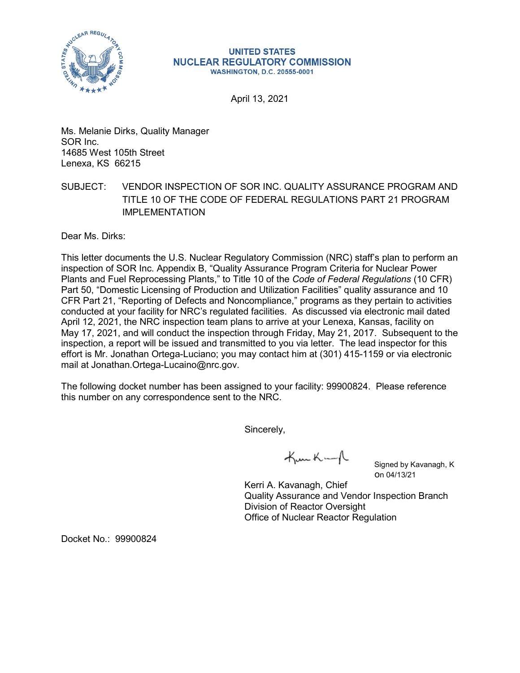

## **UNITED STATES NUCLEAR REGULATORY COMMISSION WASHINGTON, D.C. 20555-0001**

April 13, 2021

Ms. Melanie Dirks, Quality Manager SOR Inc. 14685 West 105th Street Lenexa, KS 66215

## SUBJECT: VENDOR INSPECTION OF SOR INC. QUALITY ASSURANCE PROGRAM AND TITLE 10 OF THE CODE OF FEDERAL REGULATIONS PART 21 PROGRAM IMPLEMENTATION

Dear Ms. Dirks:

This letter documents the U.S. Nuclear Regulatory Commission (NRC) staff's plan to perform an inspection of SOR Inc. Appendix B, "Quality Assurance Program Criteria for Nuclear Power Plants and Fuel Reprocessing Plants," to Title 10 of the *Code of Federal Regulations* (10 CFR) Part 50, "Domestic Licensing of Production and Utilization Facilities" quality assurance and 10 CFR Part 21, "Reporting of Defects and Noncompliance," programs as they pertain to activities conducted at your facility for NRC's regulated facilities. As discussed via electronic mail dated April 12, 2021, the NRC inspection team plans to arrive at your Lenexa, Kansas, facility on May 17, 2021, and will conduct the inspection through Friday, May 21, 2017. Subsequent to the inspection, a report will be issued and transmitted to you via letter. The lead inspector for this effort is Mr. Jonathan Ortega-Luciano; you may contact him at (301) 415-1159 or via electronic mail at Jonathan.Ortega-Lucaino@nrc.gov.

The following docket number has been assigned to your facility: 99900824. Please reference this number on any correspondence sent to the NRC.

Sincerely,

Kunkung

Signed by Kavanagh, K on 04/13/21

Kerri A. Kavanagh, Chief Quality Assurance and Vendor Inspection Branch Division of Reactor Oversight Office of Nuclear Reactor Regulation

Docket No.: 99900824